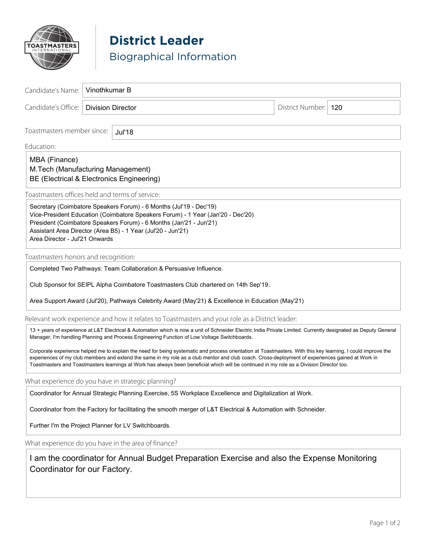

## **District Leader** Biographical Information

| Candidate's Name:                                                                                                                                                                                                                                                                                                                                                                                                                                             | Vinothkumar B |                          |  |  |                        |  |
|---------------------------------------------------------------------------------------------------------------------------------------------------------------------------------------------------------------------------------------------------------------------------------------------------------------------------------------------------------------------------------------------------------------------------------------------------------------|---------------|--------------------------|--|--|------------------------|--|
| Candidate's Office:                                                                                                                                                                                                                                                                                                                                                                                                                                           |               | <b>Division Director</b> |  |  | District Number:   120 |  |
| Toastmasters member since:<br><b>Jul'18</b>                                                                                                                                                                                                                                                                                                                                                                                                                   |               |                          |  |  |                        |  |
| Education:                                                                                                                                                                                                                                                                                                                                                                                                                                                    |               |                          |  |  |                        |  |
| MBA (Finance)<br>M.Tech (Manufacturing Management)<br>BE (Electrical & Electronics Engineering)                                                                                                                                                                                                                                                                                                                                                               |               |                          |  |  |                        |  |
| Toastmasters offices held and terms of service:                                                                                                                                                                                                                                                                                                                                                                                                               |               |                          |  |  |                        |  |
| Secretary (Coimbatore Speakers Forum) - 6 Months (Jul'19 - Dec'19)<br>Vice-President Education (Coimbatore Speakers Forum) - 1 Year (Jan'20 - Dec'20)<br>President (Coimbatore Speakers Forum) - 6 Months (Jan'21 - Jun'21)<br>Assistant Area Director (Area B5) - 1 Year (Jul'20 - Jun'21)<br>Area Director - Jul'21 Onwards                                                                                                                                 |               |                          |  |  |                        |  |
| Toastmasters honors and recognition:                                                                                                                                                                                                                                                                                                                                                                                                                          |               |                          |  |  |                        |  |
| Completed Two Pathways: Team Collaboration & Persuasive Influence.                                                                                                                                                                                                                                                                                                                                                                                            |               |                          |  |  |                        |  |
| Club Sponsor for SEIPL Alpha Coimbatore Toastmasters Club chartered on 14th Sep'19.                                                                                                                                                                                                                                                                                                                                                                           |               |                          |  |  |                        |  |
| Area Support Award (Jul'20), Pathways Celebrity Award (May'21) & Excellence in Education (May'21)                                                                                                                                                                                                                                                                                                                                                             |               |                          |  |  |                        |  |
| Relevant work experience and how it relates to Toastmasters and your role as a District leader:                                                                                                                                                                                                                                                                                                                                                               |               |                          |  |  |                        |  |
| 13 + years of experience at L&T Electrical & Automation which is now a unit of Schneider Electric India Private Limited. Currently designated as Deputy General<br>Manager, I'm handling Planning and Process Engineering Function of Low Voltage Switchboards.                                                                                                                                                                                               |               |                          |  |  |                        |  |
| Corporate experience helped me to explain the need for being systematic and process orientation at Toastmasters. With this key learning, I could improve the<br>experiences of my club members and extend the same in my role as a club mentor and club coach. Cross-deployment of experiences gained at Work in<br>Toastmasters and Toastmasters learnings at Work has always been beneficial which will be continued in my role as a Division Director too. |               |                          |  |  |                        |  |
| What experience do you have in strategic planning?                                                                                                                                                                                                                                                                                                                                                                                                            |               |                          |  |  |                        |  |
| Coordinator for Annual Strategic Planning Exercise, 5S Workplace Excellence and Digitalization at Work.                                                                                                                                                                                                                                                                                                                                                       |               |                          |  |  |                        |  |
| Coordinator from the Factory for facilitating the smooth merger of L&T Electrical & Automation with Schneider.                                                                                                                                                                                                                                                                                                                                                |               |                          |  |  |                        |  |
| Further I'm the Project Planner for LV Switchboards.                                                                                                                                                                                                                                                                                                                                                                                                          |               |                          |  |  |                        |  |
| What experience do you have in the area of finance?                                                                                                                                                                                                                                                                                                                                                                                                           |               |                          |  |  |                        |  |
| I am the coordinator for Annual Budget Preparation Exercise and also the Expense Monitoring<br>Coordinator for our Factory.                                                                                                                                                                                                                                                                                                                                   |               |                          |  |  |                        |  |